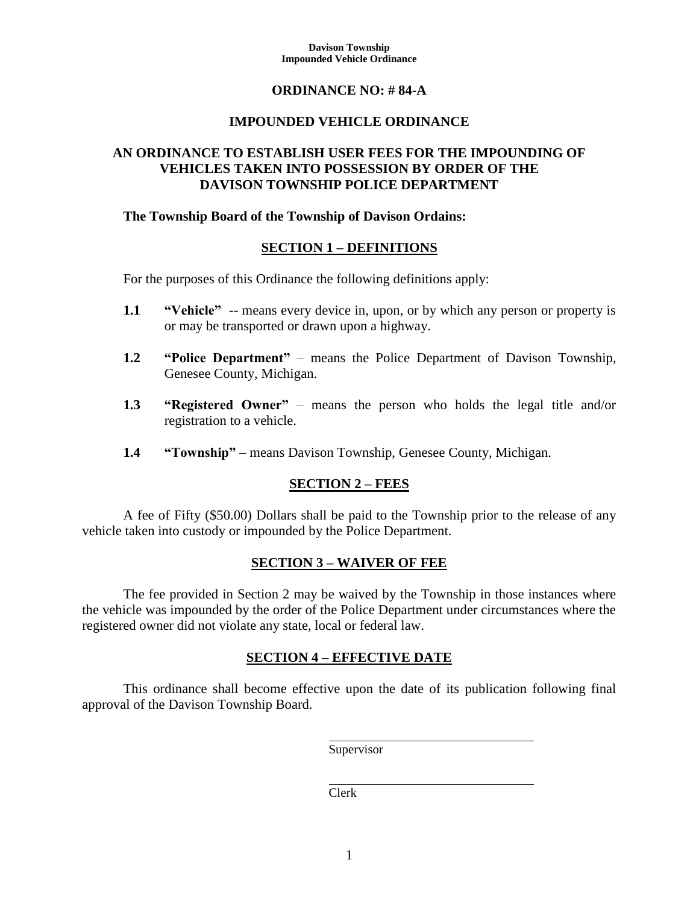#### **Davison Township Impounded Vehicle Ordinance**

## **ORDINANCE NO: # 84-A**

# **IMPOUNDED VEHICLE ORDINANCE**

# **AN ORDINANCE TO ESTABLISH USER FEES FOR THE IMPOUNDING OF VEHICLES TAKEN INTO POSSESSION BY ORDER OF THE DAVISON TOWNSHIP POLICE DEPARTMENT**

## **The Township Board of the Township of Davison Ordains:**

## **SECTION 1 – DEFINITIONS**

For the purposes of this Ordinance the following definitions apply:

- **1.1 "Vehicle"** -- means every device in, upon, or by which any person or property is or may be transported or drawn upon a highway.
- **1.2 "Police Department"** means the Police Department of Davison Township, Genesee County, Michigan.
- **1.3 "Registered Owner"** means the person who holds the legal title and/or registration to a vehicle.
- **1.4 "Township"** means Davison Township, Genesee County, Michigan.

## **SECTION 2 – FEES**

A fee of Fifty (\$50.00) Dollars shall be paid to the Township prior to the release of any vehicle taken into custody or impounded by the Police Department.

### **SECTION 3 – WAIVER OF FEE**

The fee provided in Section 2 may be waived by the Township in those instances where the vehicle was impounded by the order of the Police Department under circumstances where the registered owner did not violate any state, local or federal law.

## **SECTION 4 – EFFECTIVE DATE**

This ordinance shall become effective upon the date of its publication following final approval of the Davison Township Board.

Supervisor

Clerk